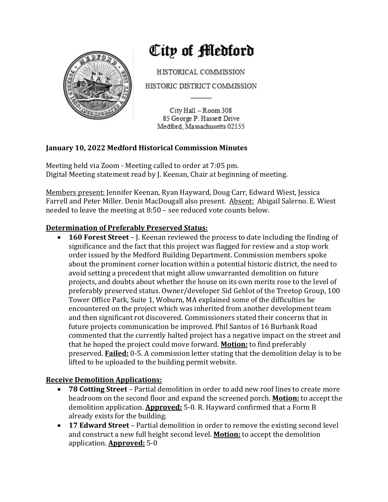

# City of Medford

HISTORICAL COMMISSION

HISTORIC DISTRICT COMMISSION

City Hall - Room 308 85 George P. Hassett Drive Medford, Massachusetts 02155

## **January 10, 2022 Medford Historical Commission Minutes**

Meeting held via Zoom - Meeting called to order at 7:05 pm. Digital Meeting statement read by J. Keenan, Chair at beginning of meeting.

Members present: Jennifer Keenan, Ryan Hayward, Doug Carr, Edward Wiest, Jessica Farrell and Peter Miller. Denis MacDougall also present. Absent: Abigail Salerno. E. Wiest needed to leave the meeting at  $8:50$  – see reduced vote counts below.

## **Determination of Preferably Preserved Status:**

• **160 Forest Street** – J. Keenan reviewed the process to date including the finding of significance and the fact that this project was flagged for review and a stop work order issued by the Medford Building Department. Commission members spoke about the prominent corner location within a potential historic district, the need to avoid setting a precedent that might allow unwarranted demolition on future projects, and doubts about whether the house on its own merits rose to the level of preferably preserved status. Owner/developer Sid Gehlot of the Treetop Group, 100 Tower Office Park, Suite 1, Woburn, MA explained some of the difficulties he encountered on the project which was inherited from another development team and then significant rot discovered. Commissioners stated their concerns that in future projects communication be improved. Phil Santos of 16 Burbank Road commented that the currently halted project has a negative impact on the street and that he hoped the project could move forward. **Motion:** to find preferably preserved. **Failed:** 0-5. A commission letter stating that the demolition delay is to be lifted to be uploaded to the building permit website.

## **Receive Demolition Applications:**

- 78 Cotting Street Partial demolition in order to add new roof lines to create more headroom on the second floor and expand the screened porch. **Motion:** to accept the demolition application. **Approved:** 5-0. R. Hayward confirmed that a Form B already exists for the building.
- **17 Edward Street** Partial demolition in order to remove the existing second level and construct a new full height second level. **Motion:** to accept the demolition application. **Approved:** 5-0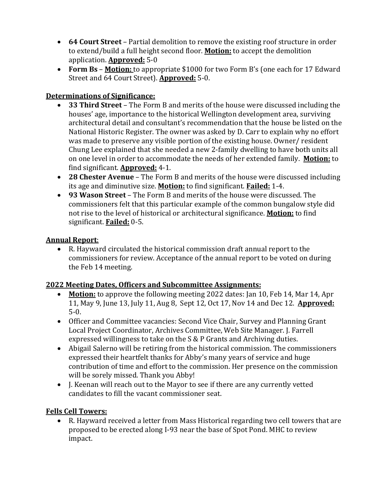- **64 Court Street** Partial demolition to remove the existing roof structure in order to extend/build a full height second floor. **Motion:** to accept the demolition application. **Approved:** 5-0
- Form Bs Motion: to appropriate \$1000 for two Form B's (one each for 17 Edward Street and 64 Court Street). **Approved:** 5-0.

# **Determinations of Significance:**

- **33 Third Street** The Form B and merits of the house were discussed including the houses' age, importance to the historical Wellington development area, surviving architectural detail and consultant's recommendation that the house be listed on the National Historic Register. The owner was asked by D. Carr to explain why no effort was made to preserve any visible portion of the existing house. Owner/ resident Chung Lee explained that she needed a new 2-family dwelling to have both units all on one level in order to accommodate the needs of her extended family. Motion: to find significant. **Approved:** 4-1.
- 28 Chester Avenue The Form B and merits of the house were discussed including its age and diminutive size. **Motion:** to find significant. **Failed:** 1-4.
- 93 Wason Street The Form B and merits of the house were discussed. The commissioners felt that this particular example of the common bungalow style did not rise to the level of historical or architectural significance. **Motion:** to find significant. **Failed:** 0-5.

## **Annual Report**:

• R. Hayward circulated the historical commission draft annual report to the commissioners for review. Acceptance of the annual report to be voted on during the Feb 14 meeting.

## **2022 Meeting Dates, Officers and Subcommittee Assignments:**

- Motion: to approve the following meeting 2022 dates: Jan 10, Feb 14, Mar 14, Apr 11, May 9, June 13, July 11, Aug 8, Sept 12, Oct 17, Nov 14 and Dec 12. **Approved:** 5-0.
- Officer and Committee vacancies: Second Vice Chair, Survey and Planning Grant Local Project Coordinator, Archives Committee, Web Site Manager. J. Farrell expressed willingness to take on the  $S & P$  Grants and Archiving duties.
- Abigail Salerno will be retiring from the historical commission. The commissioners expressed their heartfelt thanks for Abby's many years of service and huge contribution of time and effort to the commission. Her presence on the commission will be sorely missed. Thank you Abby!
- I. Keenan will reach out to the Mayor to see if there are any currently vetted candidates to fill the vacant commissioner seat.

## **Fells Cell Towers:**

R. Hayward received a letter from Mass Historical regarding two cell towers that are proposed to be erected along I-93 near the base of Spot Pond. MHC to review impact.